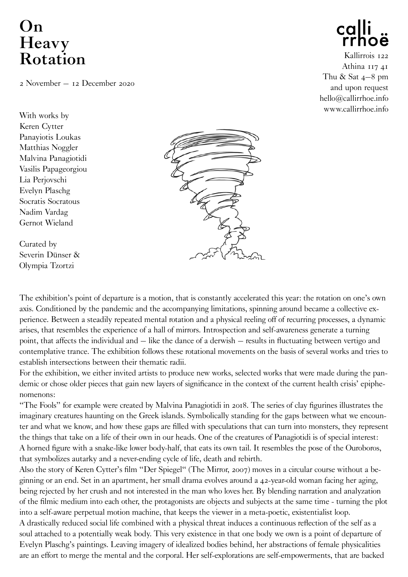## **On Heavy Rotation**

2 November – 12 December 2020

With works by Keren Cytter Panayiotis Loukas Matthias Noggler Malvina Panagiotidi Vasilis Papageorgiou Lia Perjovschi Evelyn Plaschg Socratis Socratous Nadim Vardag Gernot Wieland

Curated by Severin Dünser & Olympia Tzortzi





Kallirrois 122 Athina 117 41 Thu  $&$  Sat  $4-8$  pm and upon request hello@callirrhoe.info www.callirrhoe.info

The exhibition's point of departure is a motion, that is constantly accelerated this year: the rotation on one's own axis. Conditioned by the pandemic and the accompanying limitations, spinning around became a collective experience. Between a steadily repeated mental rotation and a physical reeling off of recurring processes, a dynamic arises, that resembles the experience of a hall of mirrors. Introspection and self-awareness generate a turning point, that affects the individual and – like the dance of a derwish – results in fluctuating between vertigo and contemplative trance. The exhibition follows these rotational movements on the basis of several works and tries to establish intersections between their thematic radii.

For the exhibition, we either invited artists to produce new works, selected works that were made during the pandemic or chose older pieces that gain new layers of significance in the context of the current health crisis' epiphenomenons:

"The Fools" for example were created by Malvina Panagiotidi in 2018. The series of clay figurines illustrates the imaginary creatures haunting on the Greek islands. Symbolically standing for the gaps between what we encounter and what we know, and how these gaps are filled with speculations that can turn into monsters, they represent the things that take on a life of their own in our heads. One of the creatures of Panagiotidi is of special interest: A horned figure with a snake-like lower body-half, that eats its own tail. It resembles the pose of the Ouroboros, that symbolizes autarky and a never-ending cycle of life, death and rebirth.

Also the story of Keren Cytter's film "Der Spiegel" (The Mirror, 2007) moves in a circular course without a beginning or an end. Set in an apartment, her small drama evolves around a 42-year-old woman facing her aging, being rejected by her crush and not interested in the man who loves her. By blending narration and analyzation of the filmic medium into each other, the protagonists are objects and subjects at the same time - turning the plot into a self-aware perpetual motion machine, that keeps the viewer in a meta-poetic, existentialist loop.

A drastically reduced social life combined with a physical threat induces a continuous reflection of the self as a soul attached to a potentially weak body. This very existence in that one body we own is a point of departure of Evelyn Plaschg's paintings. Leaving imagery of idealized bodies behind, her abstractions of female physicalities are an effort to merge the mental and the corporal. Her self-explorations are self-empowerments, that are backed